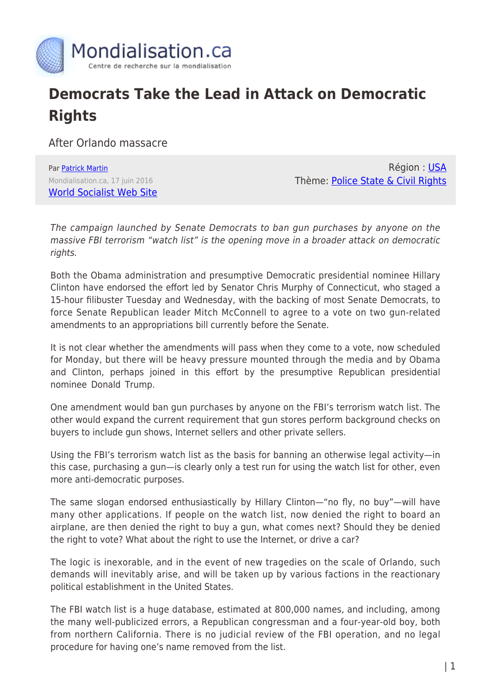

## **Democrats Take the Lead in Attack on Democratic Rights**

After Orlando massacre

Par [Patrick Martin](https://www.mondialisation.ca/author/patrick-martin) Mondialisation.ca, 17 juin 2016 [World Socialist Web Site](http://www.wsws.org/en/articles/2016/06/17/orla-j17.html)

Région : [USA](https://www.mondialisation.ca/region/usa) Thème: [Police State & Civil Rights](https://www.mondialisation.ca/theme/police-state-civil-rights)

The campaign launched by Senate Democrats to ban gun purchases by anyone on the massive FBI terrorism "watch list" is the opening move in a broader attack on democratic rights.

Both the Obama administration and presumptive Democratic presidential nominee Hillary Clinton have endorsed the effort led by Senator Chris Murphy of Connecticut, who staged a 15-hour filibuster Tuesday and Wednesday, with the backing of most Senate Democrats, to force Senate Republican leader Mitch McConnell to agree to a vote on two gun-related amendments to an appropriations bill currently before the Senate.

It is not clear whether the amendments will pass when they come to a vote, now scheduled for Monday, but there will be heavy pressure mounted through the media and by Obama and Clinton, perhaps joined in this effort by the presumptive Republican presidential nominee Donald Trump.

One amendment would ban gun purchases by anyone on the FBI's terrorism watch list. The other would expand the current requirement that gun stores perform background checks on buyers to include gun shows, Internet sellers and other private sellers.

Using the FBI's terrorism watch list as the basis for banning an otherwise legal activity—in this case, purchasing a gun—is clearly only a test run for using the watch list for other, even more anti-democratic purposes.

The same slogan endorsed enthusiastically by Hillary Clinton—"no fly, no buy"—will have many other applications. If people on the watch list, now denied the right to board an airplane, are then denied the right to buy a gun, what comes next? Should they be denied the right to vote? What about the right to use the Internet, or drive a car?

The logic is inexorable, and in the event of new tragedies on the scale of Orlando, such demands will inevitably arise, and will be taken up by various factions in the reactionary political establishment in the United States.

The FBI watch list is a huge database, estimated at 800,000 names, and including, among the many well-publicized errors, a Republican congressman and a four-year-old boy, both from northern California. There is no judicial review of the FBI operation, and no legal procedure for having one's name removed from the list.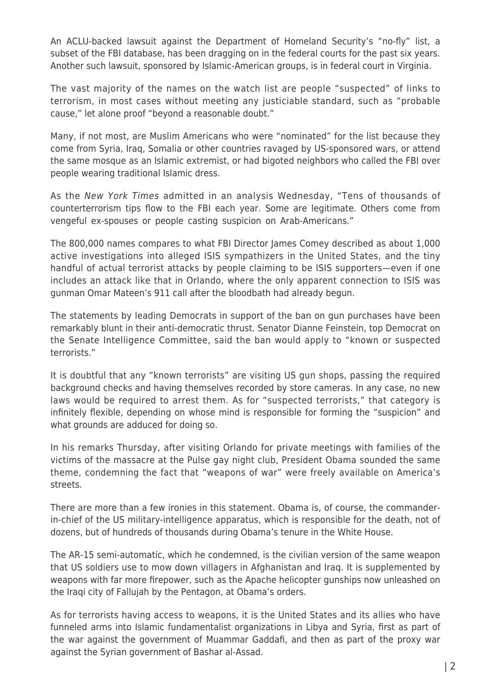An ACLU-backed lawsuit against the Department of Homeland Security's "no-fly" list, a subset of the FBI database, has been dragging on in the federal courts for the past six years. Another such lawsuit, sponsored by Islamic-American groups, is in federal court in Virginia.

The vast majority of the names on the watch list are people "suspected" of links to terrorism, in most cases without meeting any justiciable standard, such as "probable cause," let alone proof "beyond a reasonable doubt."

Many, if not most, are Muslim Americans who were "nominated" for the list because they come from Syria, Iraq, Somalia or other countries ravaged by US-sponsored wars, or attend the same mosque as an Islamic extremist, or had bigoted neighbors who called the FBI over people wearing traditional Islamic dress.

As the New York Times admitted in an analysis Wednesday, "Tens of thousands of counterterrorism tips flow to the FBI each year. Some are legitimate. Others come from vengeful ex-spouses or people casting suspicion on Arab-Americans."

The 800,000 names compares to what FBI Director James Comey described as about 1,000 active investigations into alleged ISIS sympathizers in the United States, and the tiny handful of actual terrorist attacks by people claiming to be ISIS supporters—even if one includes an attack like that in Orlando, where the only apparent connection to ISIS was gunman Omar Mateen's 911 call after the bloodbath had already begun.

The statements by leading Democrats in support of the ban on gun purchases have been remarkably blunt in their anti-democratic thrust. Senator Dianne Feinstein, top Democrat on the Senate Intelligence Committee, said the ban would apply to "known or suspected terrorists."

It is doubtful that any "known terrorists" are visiting US gun shops, passing the required background checks and having themselves recorded by store cameras. In any case, no new laws would be required to arrest them. As for "suspected terrorists," that category is infinitely flexible, depending on whose mind is responsible for forming the "suspicion" and what grounds are adduced for doing so.

In his remarks Thursday, after visiting Orlando for private meetings with families of the victims of the massacre at the Pulse gay night club, President Obama sounded the same theme, condemning the fact that "weapons of war" were freely available on America's streets.

There are more than a few ironies in this statement. Obama is, of course, the commanderin-chief of the US military-intelligence apparatus, which is responsible for the death, not of dozens, but of hundreds of thousands during Obama's tenure in the White House.

The AR-15 semi-automatic, which he condemned, is the civilian version of the same weapon that US soldiers use to mow down villagers in Afghanistan and Iraq. It is supplemented by weapons with far more firepower, such as the Apache helicopter gunships now unleashed on the Iraqi city of Fallujah by the Pentagon, at Obama's orders.

As for terrorists having access to weapons, it is the United States and its allies who have funneled arms into Islamic fundamentalist organizations in Libya and Syria, first as part of the war against the government of Muammar Gaddafi, and then as part of the proxy war against the Syrian government of Bashar al-Assad.